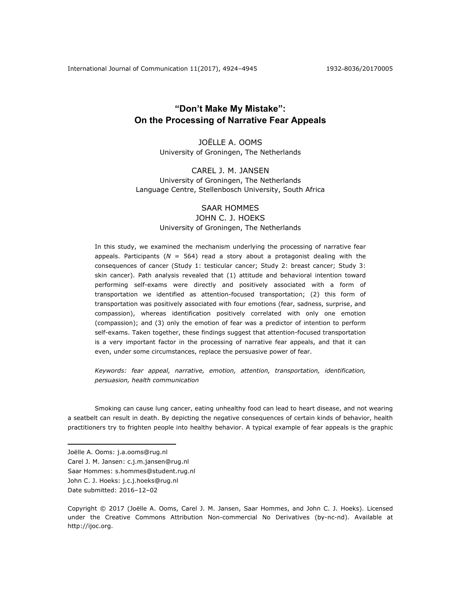# **"Don't Make My Mistake": On the Processing of Narrative Fear Appeals**

JOËLLE A. OOMS University of Groningen, The Netherlands

CAREL J. M. JANSEN University of Groningen, The Netherlands Language Centre, Stellenbosch University, South Africa

## SAAR HOMMES

## JOHN C. J. HOEKS University of Groningen, The Netherlands

In this study, we examined the mechanism underlying the processing of narrative fear appeals. Participants (*N* = 564) read a story about a protagonist dealing with the consequences of cancer (Study 1: testicular cancer; Study 2: breast cancer; Study 3: skin cancer). Path analysis revealed that (1) attitude and behavioral intention toward performing self-exams were directly and positively associated with a form of transportation we identified as attention-focused transportation; (2) this form of transportation was positively associated with four emotions (fear, sadness, surprise, and compassion), whereas identification positively correlated with only one emotion (compassion); and (3) only the emotion of fear was a predictor of intention to perform self-exams. Taken together, these findings suggest that attention-focused transportation is a very important factor in the processing of narrative fear appeals, and that it can even, under some circumstances, replace the persuasive power of fear.

*Keywords: fear appeal, narrative, emotion, attention, transportation, identification, persuasion, health communication* 

Smoking can cause lung cancer, eating unhealthy food can lead to heart disease, and not wearing a seatbelt can result in death. By depicting the negative consequences of certain kinds of behavior, health practitioners try to frighten people into healthy behavior. A typical example of fear appeals is the graphic

 $\overline{a}$ 

Saar Hommes: s.hommes@student.rug.nl

Joëlle A. Ooms: j.a.ooms@rug.nl

Carel J. M. Jansen: c.j.m.jansen@rug.nl

John C. J. Hoeks: j.c.j.hoeks@rug.nl

Date submitted: 2016-12-02

Copyright © 2017 (Joëlle A. Ooms, Carel J. M. Jansen, Saar Hommes, and John C. J. Hoeks). Licensed under the Creative Commons Attribution Non-commercial No Derivatives (by-nc-nd). Available at http://ijoc.org.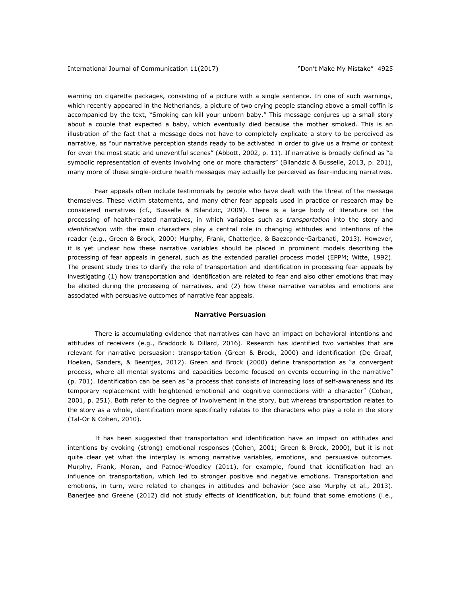warning on cigarette packages, consisting of a picture with a single sentence. In one of such warnings, which recently appeared in the Netherlands, a picture of two crying people standing above a small coffin is accompanied by the text, "Smoking can kill your unborn baby." This message conjures up a small story about a couple that expected a baby, which eventually died because the mother smoked. This is an illustration of the fact that a message does not have to completely explicate a story to be perceived as narrative, as "our narrative perception stands ready to be activated in order to give us a frame or context for even the most static and uneventful scenes" (Abbott, 2002, p. 11). If narrative is broadly defined as "a symbolic representation of events involving one or more characters" (Bilandzic & Busselle, 2013, p. 201), many more of these single-picture health messages may actually be perceived as fear-inducing narratives.

Fear appeals often include testimonials by people who have dealt with the threat of the message themselves. These victim statements, and many other fear appeals used in practice or research may be considered narratives (cf., Busselle & Bilandzic, 2009). There is a large body of literature on the processing of health-related narratives, in which variables such as *transportation* into the story and *identification* with the main characters play a central role in changing attitudes and intentions of the reader (e.g., Green & Brock, 2000; Murphy, Frank, Chatterjee, & Baezconde-Garbanati, 2013). However, it is yet unclear how these narrative variables should be placed in prominent models describing the processing of fear appeals in general, such as the extended parallel process model (EPPM; Witte, 1992). The present study tries to clarify the role of transportation and identification in processing fear appeals by investigating (1) how transportation and identification are related to fear and also other emotions that may be elicited during the processing of narratives, and (2) how these narrative variables and emotions are associated with persuasive outcomes of narrative fear appeals.

#### **Narrative Persuasion**

There is accumulating evidence that narratives can have an impact on behavioral intentions and attitudes of receivers (e.g., Braddock & Dillard, 2016). Research has identified two variables that are relevant for narrative persuasion: transportation (Green & Brock, 2000) and identification (De Graaf, Hoeken, Sanders, & Beentjes, 2012). Green and Brock (2000) define transportation as "a convergent process, where all mental systems and capacities become focused on events occurring in the narrative" (p. 701). Identification can be seen as "a process that consists of increasing loss of self-awareness and its temporary replacement with heightened emotional and cognitive connections with a character" (Cohen, 2001, p. 251). Both refer to the degree of involvement in the story, but whereas transportation relates to the story as a whole, identification more specifically relates to the characters who play a role in the story (Tal-Or & Cohen, 2010).

It has been suggested that transportation and identification have an impact on attitudes and intentions by evoking (strong) emotional responses (Cohen, 2001; Green & Brock, 2000), but it is not quite clear yet what the interplay is among narrative variables, emotions, and persuasive outcomes. Murphy, Frank, Moran, and Patnoe-Woodley (2011), for example, found that identification had an influence on transportation, which led to stronger positive and negative emotions. Transportation and emotions, in turn, were related to changes in attitudes and behavior (see also Murphy et al., 2013). Banerjee and Greene (2012) did not study effects of identification, but found that some emotions (i.e.,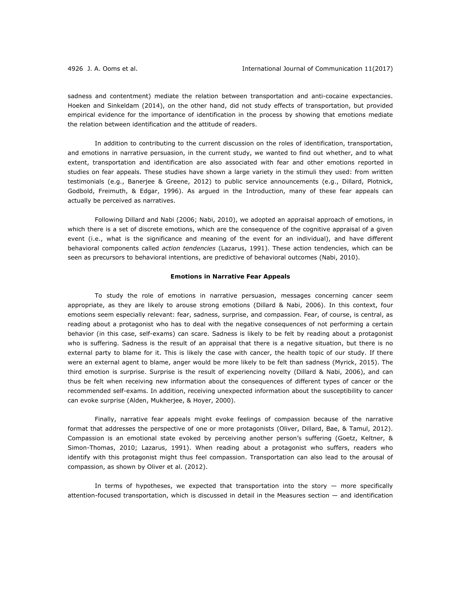sadness and contentment) mediate the relation between transportation and anti-cocaine expectancies. Hoeken and Sinkeldam (2014), on the other hand, did not study effects of transportation, but provided empirical evidence for the importance of identification in the process by showing that emotions mediate the relation between identification and the attitude of readers.

In addition to contributing to the current discussion on the roles of identification, transportation, and emotions in narrative persuasion, in the current study, we wanted to find out whether, and to what extent, transportation and identification are also associated with fear and other emotions reported in studies on fear appeals. These studies have shown a large variety in the stimuli they used: from written testimonials (e.g., Banerjee & Greene, 2012) to public service announcements (e.g., Dillard, Plotnick, Godbold, Freimuth, & Edgar, 1996). As argued in the Introduction, many of these fear appeals can actually be perceived as narratives.

Following Dillard and Nabi (2006; Nabi, 2010), we adopted an appraisal approach of emotions, in which there is a set of discrete emotions, which are the consequence of the cognitive appraisal of a given event (i.e., what is the significance and meaning of the event for an individual), and have different behavioral components called *action tendencies* (Lazarus, 1991). These action tendencies, which can be seen as precursors to behavioral intentions, are predictive of behavioral outcomes (Nabi, 2010).

## **Emotions in Narrative Fear Appeals**

To study the role of emotions in narrative persuasion, messages concerning cancer seem appropriate, as they are likely to arouse strong emotions (Dillard & Nabi, 2006). In this context, four emotions seem especially relevant: fear, sadness, surprise, and compassion. Fear, of course, is central, as reading about a protagonist who has to deal with the negative consequences of not performing a certain behavior (in this case, self-exams) can scare. Sadness is likely to be felt by reading about a protagonist who is suffering. Sadness is the result of an appraisal that there is a negative situation, but there is no external party to blame for it. This is likely the case with cancer, the health topic of our study. If there were an external agent to blame, anger would be more likely to be felt than sadness (Myrick, 2015). The third emotion is surprise. Surprise is the result of experiencing novelty (Dillard & Nabi, 2006), and can thus be felt when receiving new information about the consequences of different types of cancer or the recommended self-exams. In addition, receiving unexpected information about the susceptibility to cancer can evoke surprise (Alden, Mukherjee, & Hoyer, 2000).

Finally, narrative fear appeals might evoke feelings of compassion because of the narrative format that addresses the perspective of one or more protagonists (Oliver, Dillard, Bae, & Tamul, 2012). Compassion is an emotional state evoked by perceiving another person's suffering (Goetz, Keltner, & Simon-Thomas, 2010; Lazarus, 1991). When reading about a protagonist who suffers, readers who identify with this protagonist might thus feel compassion. Transportation can also lead to the arousal of compassion, as shown by Oliver et al. (2012).

In terms of hypotheses, we expected that transportation into the story  $-$  more specifically attention-focused transportation, which is discussed in detail in the Measures section — and identification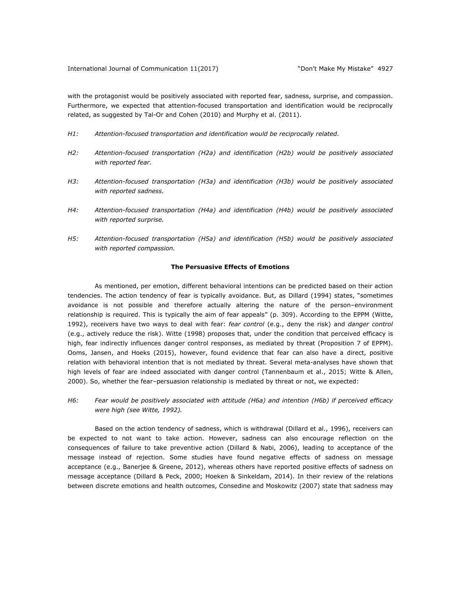with the protagonist would be positively associated with reported fear, sadness, surprise, and compassion. Furthermore, we expected that attention-focused transportation and identification would be reciprocally related, as suggested by Tal-Or and Cohen (2010) and Murphy et al. (2011).

- *H1: Attention-focused transportation and identification would be reciprocally related.*
- *H2: Attention-focused transportation (H2a) and identification (H2b) would be positively associated with reported fear.*
- *H3: Attention-focused transportation (H3a) and identification (H3b) would be positively associated with reported sadness.*
- *H4: Attention-focused transportation (H4a) and identification (H4b) would be positively associated with reported surprise.*
- *H5: Attention-focused transportation (H5a) and identification (H5b) would be positively associated with reported compassion.*

#### **The Persuasive Effects of Emotions**

As mentioned, per emotion, different behavioral intentions can be predicted based on their action tendencies. The action tendency of fear is typically avoidance. But, as Dillard (1994) states, "sometimes avoidance is not possible and therefore actually altering the nature of the person–environment relationship is required. This is typically the aim of fear appeals" (p. 309). According to the EPPM (Witte, 1992), receivers have two ways to deal with fear: *fear control* (e.g., deny the risk) and *danger control*  (e.g., actively reduce the risk). Witte (1998) proposes that, under the condition that perceived efficacy is high, fear indirectly influences danger control responses, as mediated by threat (Proposition 7 of EPPM). Ooms, Jansen, and Hoeks (2015), however, found evidence that fear can also have a direct, positive relation with behavioral intention that is not mediated by threat. Several meta-analyses have shown that high levels of fear are indeed associated with danger control (Tannenbaum et al., 2015; Witte & Allen, 2000). So, whether the fear–persuasion relationship is mediated by threat or not, we expected:

*H6: Fear would be positively associated with attitude (H6a) and intention (H6b) if perceived efficacy were high (see Witte, 1992).* 

Based on the action tendency of sadness, which is withdrawal (Dillard et al., 1996), receivers can be expected to not want to take action. However, sadness can also encourage reflection on the consequences of failure to take preventive action (Dillard & Nabi, 2006), leading to acceptance of the message instead of rejection. Some studies have found negative effects of sadness on message acceptance (e.g., Banerjee & Greene, 2012), whereas others have reported positive effects of sadness on message acceptance (Dillard & Peck, 2000; Hoeken & Sinkeldam, 2014). In their review of the relations between discrete emotions and health outcomes, Consedine and Moskowitz (2007) state that sadness may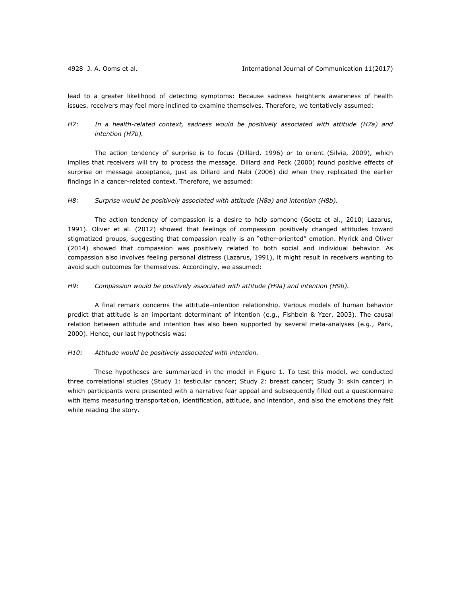lead to a greater likelihood of detecting symptoms: Because sadness heightens awareness of health issues, receivers may feel more inclined to examine themselves. Therefore, we tentatively assumed:

## *H7: In a health-related context, sadness would be positively associated with attitude (H7a) and intention (H7b).*

The action tendency of surprise is to focus (Dillard, 1996) or to orient (Silvia, 2009), which implies that receivers will try to process the message. Dillard and Peck (2000) found positive effects of surprise on message acceptance, just as Dillard and Nabi (2006) did when they replicated the earlier findings in a cancer-related context. Therefore, we assumed:

### *H8: Surprise would be positively associated with attitude (H8a) and intention (H8b).*

The action tendency of compassion is a desire to help someone (Goetz et al., 2010; Lazarus, 1991). Oliver et al. (2012) showed that feelings of compassion positively changed attitudes toward stigmatized groups, suggesting that compassion really is an "other-oriented" emotion. Myrick and Oliver (2014) showed that compassion was positively related to both social and individual behavior. As compassion also involves feeling personal distress (Lazarus, 1991), it might result in receivers wanting to avoid such outcomes for themselves. Accordingly, we assumed:

## *H9: Compassion would be positively associated with attitude (H9a) and intention (H9b).*

A final remark concerns the attitude–intention relationship. Various models of human behavior predict that attitude is an important determinant of intention (e.g., Fishbein & Yzer, 2003). The causal relation between attitude and intention has also been supported by several meta-analyses (e.g., Park, 2000). Hence, our last hypothesis was:

## *H10: Attitude would be positively associated with intention.*

These hypotheses are summarized in the model in Figure 1. To test this model, we conducted three correlational studies (Study 1: testicular cancer; Study 2: breast cancer; Study 3: skin cancer) in which participants were presented with a narrative fear appeal and subsequently filled out a questionnaire with items measuring transportation, identification, attitude, and intention, and also the emotions they felt while reading the story.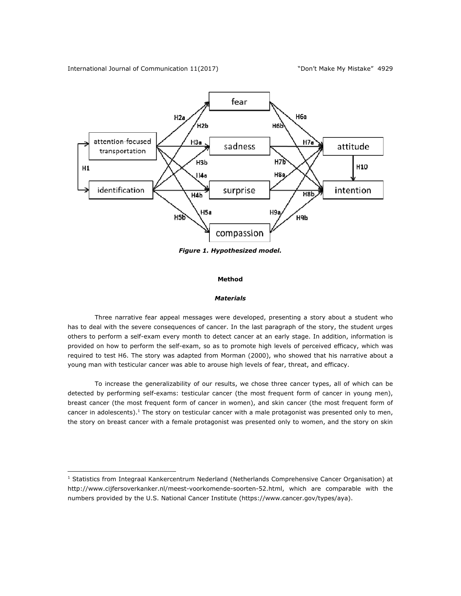International Journal of Communication 11(2017) The mass of Make My Mistake" 4929

 $\overline{a}$ 



*Figure 1. Hypothesized model.* 

#### **Method**

#### *Materials*

Three narrative fear appeal messages were developed, presenting a story about a student who has to deal with the severe consequences of cancer. In the last paragraph of the story, the student urges others to perform a self-exam every month to detect cancer at an early stage. In addition, information is provided on how to perform the self-exam, so as to promote high levels of perceived efficacy, which was required to test H6. The story was adapted from Morman (2000), who showed that his narrative about a young man with testicular cancer was able to arouse high levels of fear, threat, and efficacy.

To increase the generalizability of our results, we chose three cancer types, all of which can be detected by performing self-exams: testicular cancer (the most frequent form of cancer in young men), breast cancer (the most frequent form of cancer in women), and skin cancer (the most frequent form of cancer in adolescents). $<sup>1</sup>$  The story on testicular cancer with a male protagonist was presented only to men,</sup> the story on breast cancer with a female protagonist was presented only to women, and the story on skin

<sup>&</sup>lt;sup>1</sup> Statistics from Integraal Kankercentrum Nederland (Netherlands Comprehensive Cancer Organisation) at http://www.cijfersoverkanker.nl/meest-voorkomende-soorten-52.html, which are comparable with the numbers provided by the U.S. National Cancer Institute (https://www.cancer.gov/types/aya).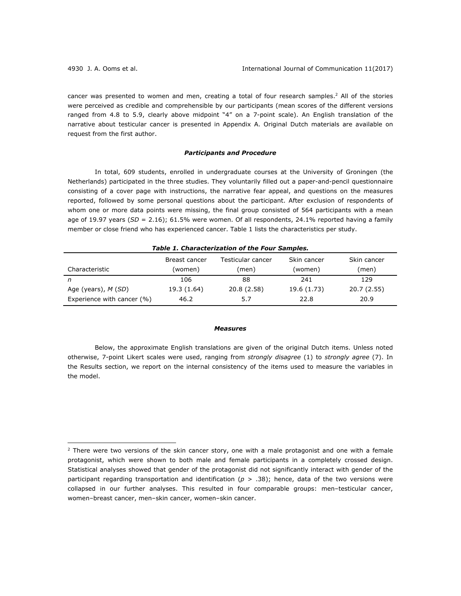$\overline{a}$ 

cancer was presented to women and men, creating a total of four research samples.<sup>2</sup> All of the stories were perceived as credible and comprehensible by our participants (mean scores of the different versions ranged from 4.8 to 5.9, clearly above midpoint "4" on a 7-point scale). An English translation of the narrative about testicular cancer is presented in Appendix A. Original Dutch materials are available on request from the first author.

## *Participants and Procedure*

In total, 609 students, enrolled in undergraduate courses at the University of Groningen (the Netherlands) participated in the three studies. They voluntarily filled out a paper-and-pencil questionnaire consisting of a cover page with instructions, the narrative fear appeal, and questions on the measures reported, followed by some personal questions about the participant. After exclusion of respondents of whom one or more data points were missing, the final group consisted of 564 participants with a mean age of 19.97 years (*SD* = 2.16); 61.5% were women. Of all respondents, 24.1% reported having a family member or close friend who has experienced cancer. Table 1 lists the characteristics per study.

| Table 1. Characterization of the Four Samples. |                          |                            |                        |                      |  |  |  |
|------------------------------------------------|--------------------------|----------------------------|------------------------|----------------------|--|--|--|
| Characteristic                                 | Breast cancer<br>(women) | Testicular cancer<br>(men) | Skin cancer<br>(women) | Skin cancer<br>(men) |  |  |  |
| n                                              | 106                      | 88                         | 241                    | 129                  |  |  |  |
| Age (years), $M(SD)$                           | 19.3 (1.64)              | 20.8 (2.58)                | 19.6 (1.73)            | 20.7 (2.55)          |  |  |  |
| Experience with cancer (%)                     | 46.2                     | 5.7                        | 22.8                   | 20.9                 |  |  |  |

#### *Measures*

Below, the approximate English translations are given of the original Dutch items. Unless noted otherwise, 7-point Likert scales were used, ranging from *strongly disagree* (1) to *strongly agree* (7). In the Results section, we report on the internal consistency of the items used to measure the variables in the model.

 $2$  There were two versions of the skin cancer story, one with a male protagonist and one with a female protagonist, which were shown to both male and female participants in a completely crossed design. Statistical analyses showed that gender of the protagonist did not significantly interact with gender of the participant regarding transportation and identification ( $p > .38$ ); hence, data of the two versions were collapsed in our further analyses. This resulted in four comparable groups: men–testicular cancer, women–breast cancer, men–skin cancer, women–skin cancer.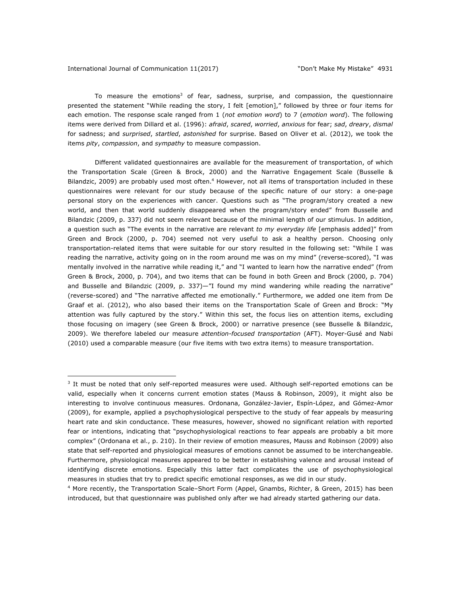#### International Journal of Communication 11(2017) "Don't Make My Mistake" 4931

 $\overline{a}$ 

To measure the emotions<sup>3</sup> of fear, sadness, surprise, and compassion, the questionnaire presented the statement "While reading the story, I felt [emotion]," followed by three or four items for each emotion. The response scale ranged from 1 (*not emotion word*) to 7 (*emotion word*). The following items were derived from Dillard et al. (1996): *afraid*, *scared*, *worried*, *anxious* for fear; *sad*, *dreary*, *dismal* for sadness; and *surprised*, *startled*, *astonished* for surprise. Based on Oliver et al. (2012), we took the items *pity*, *compassion*, and *sympathy* to measure compassion.

Different validated questionnaires are available for the measurement of transportation, of which the Transportation Scale (Green & Brock, 2000) and the Narrative Engagement Scale (Busselle & Bilandzic, 2009) are probably used most often.<sup>4</sup> However, not all items of transportation included in these questionnaires were relevant for our study because of the specific nature of our story: a one-page personal story on the experiences with cancer. Questions such as "The program/story created a new world, and then that world suddenly disappeared when the program/story ended" from Busselle and Bilandzic (2009, p. 337) did not seem relevant because of the minimal length of our stimulus. In addition, a question such as "The events in the narrative are relevant *to my everyday life* [emphasis added]" from Green and Brock (2000, p. 704) seemed not very useful to ask a healthy person. Choosing only transportation-related items that were suitable for our story resulted in the following set: "While I was reading the narrative, activity going on in the room around me was on my mind" (reverse-scored), "I was mentally involved in the narrative while reading it," and "I wanted to learn how the narrative ended" (from Green & Brock, 2000, p. 704), and two items that can be found in both Green and Brock (2000, p. 704) and Busselle and Bilandzic (2009, p. 337)—"I found my mind wandering while reading the narrative" (reverse-scored) and "The narrative affected me emotionally." Furthermore, we added one item from De Graaf et al. (2012), who also based their items on the Transportation Scale of Green and Brock: "My attention was fully captured by the story." Within this set, the focus lies on attention items, excluding those focusing on imagery (see Green & Brock, 2000) or narrative presence (see Busselle & Bilandzic, 2009). We therefore labeled our measure *attention-focused transportation* (AFT). Moyer-Gusé and Nabi (2010) used a comparable measure (our five items with two extra items) to measure transportation.

 $3$  It must be noted that only self-reported measures were used. Although self-reported emotions can be valid, especially when it concerns current emotion states (Mauss & Robinson, 2009), it might also be interesting to involve continuous measures. Ordonana, González-Javier, Espín-López, and Gómez-Amor (2009), for example, applied a psychophysiological perspective to the study of fear appeals by measuring heart rate and skin conductance. These measures, however, showed no significant relation with reported fear or intentions, indicating that "psychophysiological reactions to fear appeals are probably a bit more complex" (Ordonana et al., p. 210). In their review of emotion measures, Mauss and Robinson (2009) also state that self-reported and physiological measures of emotions cannot be assumed to be interchangeable. Furthermore, physiological measures appeared to be better in establishing valence and arousal instead of identifying discrete emotions. Especially this latter fact complicates the use of psychophysiological measures in studies that try to predict specific emotional responses, as we did in our study.

<sup>4</sup> More recently, the Transportation Scale–Short Form (Appel, Gnambs, Richter, & Green, 2015) has been introduced, but that questionnaire was published only after we had already started gathering our data.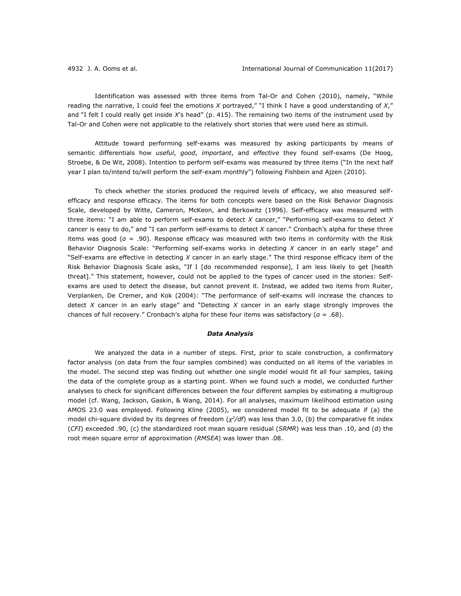Identification was assessed with three items from Tal-Or and Cohen (2010), namely, "While reading the narrative, I could feel the emotions *X* portrayed," "I think I have a good understanding of *X*," and "I felt I could really get inside *X*'s head" (p. 415). The remaining two items of the instrument used by Tal-Or and Cohen were not applicable to the relatively short stories that were used here as stimuli.

Attitude toward performing self-exams was measured by asking participants by means of semantic differentials how *useful*, *good*, *important*, and *effective* they found self-exams (De Hoog, Stroebe, & De Wit, 2008). Intention to perform self-exams was measured by three items ("In the next half year I plan to/intend to/will perform the self-exam monthly") following Fishbein and Ajzen (2010).

To check whether the stories produced the required levels of efficacy, we also measured selfefficacy and response efficacy. The items for both concepts were based on the Risk Behavior Diagnosis Scale, developed by Witte, Cameron, McKeon, and Berkowitz (1996). Self-efficacy was measured with three items: "I am able to perform self-exams to detect *X* cancer," "Performing self-exams to detect *X* cancer is easy to do," and "I can perform self-exams to detect *X* cancer." Cronbach's alpha for these three items was good (*α* = .90). Response efficacy was measured with two items in conformity with the Risk Behavior Diagnosis Scale: "Performing self-exams works in detecting *X* cancer in an early stage" and "Self-exams are effective in detecting *X* cancer in an early stage." The third response efficacy item of the Risk Behavior Diagnosis Scale asks, "If I [do recommended response], I am less likely to get [health threat]." This statement, however, could not be applied to the types of cancer used in the stories: Selfexams are used to detect the disease, but cannot prevent it. Instead, we added two items from Ruiter, Verplanken, De Cremer, and Kok (2004): "The performance of self-exams will increase the chances to detect *X* cancer in an early stage" and "Detecting *X* cancer in an early stage strongly improves the chances of full recovery." Cronbach's alpha for these four items was satisfactory (*α* = .68).

#### *Data Analysis*

We analyzed the data in a number of steps. First, prior to scale construction, a confirmatory factor analysis (on data from the four samples combined) was conducted on all items of the variables in the model. The second step was finding out whether one single model would fit all four samples, taking the data of the complete group as a starting point. When we found such a model, we conducted further analyses to check for significant differences between the four different samples by estimating a multigroup model (cf. Wang, Jackson, Gaskin, & Wang, 2014). For all analyses, maximum likelihood estimation using AMOS 23.0 was employed. Following Kline (2005), we considered model fit to be adequate if (a) the model chi-square divided by its degrees of freedom (*χ2/df*) was less than 3.0, (b) the comparative fit index (*CFI*) exceeded .90, (c) the standardized root mean square residual (*SRMR*) was less than .10, and (d) the root mean square error of approximation (*RMSEA*) was lower than .08.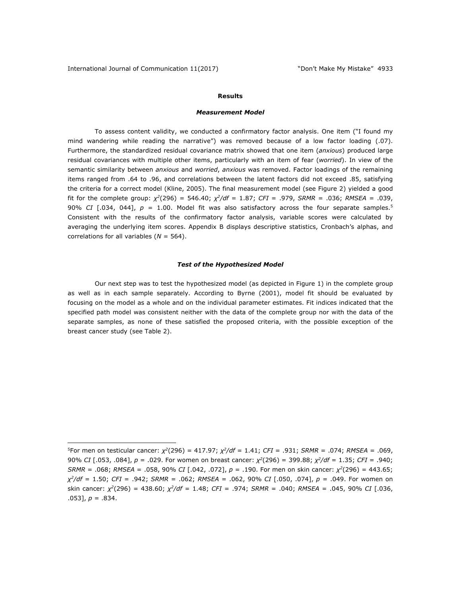## **Results**

#### *Measurement Model*

To assess content validity, we conducted a confirmatory factor analysis. One item ("I found my mind wandering while reading the narrative") was removed because of a low factor loading (.07). Furthermore, the standardized residual covariance matrix showed that one item (*anxious*) produced large residual covariances with multiple other items, particularly with an item of fear (*worried*). In view of the semantic similarity between *anxious* and *worried*, *anxious* was removed. Factor loadings of the remaining items ranged from .64 to .96, and correlations between the latent factors did not exceed .85, satisfying the criteria for a correct model (Kline, 2005). The final measurement model (see Figure 2) yielded a good fit for the complete group: *χ<sup>2</sup>*(296) = 546.40; *χ2/df* = 1.87; *CFI* = .979, *SRMR* = .036; *RMSEA* = .039, 90% *CI* [.034, 044], *p* = 1.00. Model fit was also satisfactory across the four separate samples.5 Consistent with the results of the confirmatory factor analysis, variable scores were calculated by averaging the underlying item scores. Appendix B displays descriptive statistics, Cronbach's alphas, and correlations for all variables (*N* = 564).

## *Test of the Hypothesized Model*

Our next step was to test the hypothesized model (as depicted in Figure 1) in the complete group as well as in each sample separately. According to Byrne (2001), model fit should be evaluated by focusing on the model as a whole and on the individual parameter estimates. Fit indices indicated that the specified path model was consistent neither with the data of the complete group nor with the data of the separate samples, as none of these satisfied the proposed criteria, with the possible exception of the breast cancer study (see Table 2).

 $\overline{a}$ 5For men on testicular cancer: *χ<sup>2</sup>*(296) = 417.97; *χ2/df* = 1.41; *CFI* = .931; *SRMR* = .074; *RMSEA* = .069, 90% *CI* [.053, .084], *p* = .029. For women on breast cancer: *χ<sup>2</sup>*(296) = 399.88; *χ2/df* = 1.35; *CFI* = .940; *SRMR* = .068; *RMSEA* = .058, 90% *CI* [.042, .072], *p* = .190. For men on skin cancer: *χ<sup>2</sup>*(296) = 443.65; *χ2/df* = 1.50; *CFI* = .942; *SRMR* = .062; *RMSEA* = .062, 90% *CI* [.050, .074], *p* = .049. For women on skin cancer: *χ<sup>2</sup>*(296) = 438.60; *χ2/df* = 1.48; *CFI* = .974; *SRMR* = .040; *RMSEA* = .045, 90% *CI* [.036, .053], *p* = .834.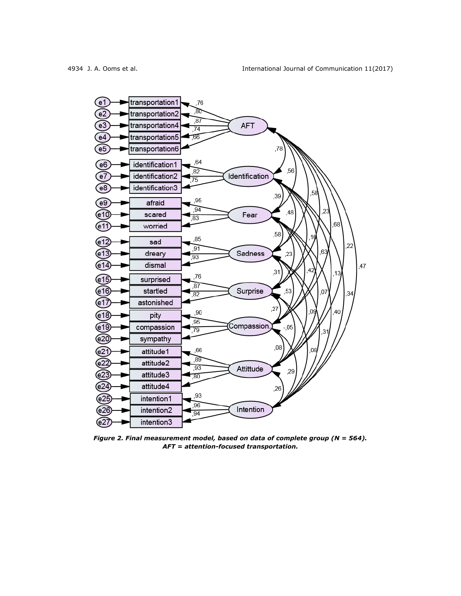

*Figure 2. Final measurement model, based on data of complete group (N = 564). AFT = attention-focused transportation.*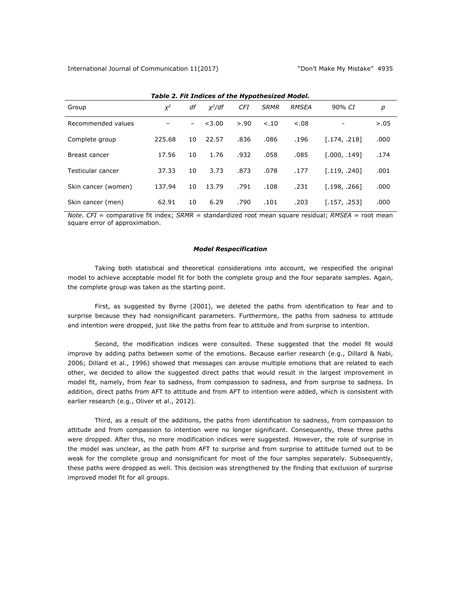| Table Li The Indices of the hypothesized rioden |        |                          |           |            |             |              |              |        |
|-------------------------------------------------|--------|--------------------------|-----------|------------|-------------|--------------|--------------|--------|
| Group                                           | $X^2$  | df                       | $x^2$ /df | <b>CFI</b> | <b>SRMR</b> | <b>RMSEA</b> | 90% CI       | р      |
| Recommended values                              |        | $\overline{\phantom{0}}$ | < 3.00    | > .90      | < .10       | $-.08$       |              | > 0.05 |
| Complete group                                  | 225.68 | 10                       | 22.57     | .836       | .086        | .196         | [.174, .218] | .000   |
| Breast cancer                                   | 17.56  | 10                       | 1.76      | .932       | .058        | .085         | [.000, .149] | .174   |
| Testicular cancer                               | 37.33  | 10                       | 3.73      | .873       | .078        | .177         | [.119, .240] | .001   |
| Skin cancer (women)                             | 137.94 | 10                       | 13.79     | .791       | .108        | .231         | [.198, .266] | .000   |
| Skin cancer (men)                               | 62.91  | 10                       | 6.29      | .790       | .101        | .203         | [.157, .253] | .000   |

## *Table 2. Fit Indices of the Hypothesized Model.*

*Note*. *CFI* = comparative fit index; *SRMR* = standardized root mean square residual; *RMSEA* = root mean square error of approximation.

## *Model Respecification*

Taking both statistical and theoretical considerations into account, we respecified the original model to achieve acceptable model fit for both the complete group and the four separate samples. Again, the complete group was taken as the starting point.

First, as suggested by Byrne (2001), we deleted the paths from identification to fear and to surprise because they had nonsignificant parameters. Furthermore, the paths from sadness to attitude and intention were dropped, just like the paths from fear to attitude and from surprise to intention.

Second, the modification indices were consulted. These suggested that the model fit would improve by adding paths between some of the emotions. Because earlier research (e.g., Dillard & Nabi, 2006; Dillard et al., 1996) showed that messages can arouse multiple emotions that are related to each other, we decided to allow the suggested direct paths that would result in the largest improvement in model fit, namely, from fear to sadness, from compassion to sadness, and from surprise to sadness. In addition, direct paths from AFT to attitude and from AFT to intention were added, which is consistent with earlier research (e.g., Oliver et al., 2012).

Third, as a result of the additions, the paths from identification to sadness, from compassion to attitude and from compassion to intention were no longer significant. Consequently, these three paths were dropped. After this, no more modification indices were suggested. However, the role of surprise in the model was unclear, as the path from AFT to surprise and from surprise to attitude turned out to be weak for the complete group and nonsignificant for most of the four samples separately. Subsequently, these paths were dropped as well. This decision was strengthened by the finding that exclusion of surprise improved model fit for all groups.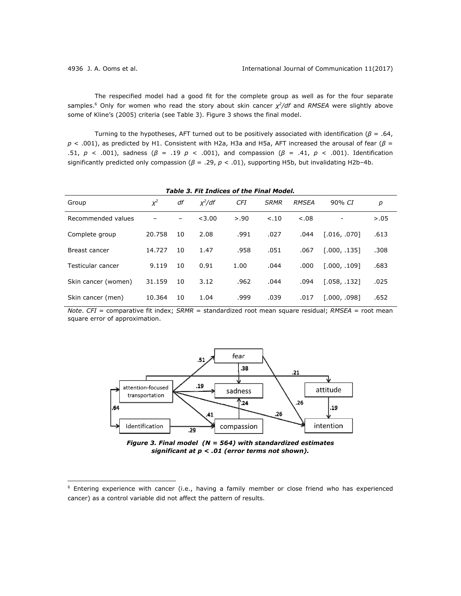$\overline{a}$ 

The respecified model had a good fit for the complete group as well as for the four separate samples.6 Only for women who read the story about skin cancer *χ2/df* and *RMSEA* were slightly above some of Kline's (2005) criteria (see Table 3). Figure 3 shows the final model.

Turning to the hypotheses, AFT turned out to be positively associated with identification (*β* = .64, *p* < .001), as predicted by H1. Consistent with H2a, H3a and H5a, AFT increased the arousal of fear (*β* = .51, *p* < .001), sadness (*β* = .19 *p* < .001), and compassion (*β* = .41, *p* < .001). Identification significantly predicted only compassion (*β* = .29, *p* < .01), supporting H5b, but invalidating H2b–4b.

*Table 3. Fit Indices of the Final Model.* 

| Group               | $X^2$  | df | $x^2/df$ | <b>CFI</b> | <b>SRMR</b> | <b>RMSEA</b> | 90% CI       | р      |  |
|---------------------|--------|----|----------|------------|-------------|--------------|--------------|--------|--|
| Recommended values  |        |    | < 3.00   | > .90      | < .10       | $-.08$       |              | > 0.05 |  |
| Complete group      | 20.758 | 10 | 2.08     | .991       | .027        | .044         | [.016, .070] | .613   |  |
| Breast cancer       | 14.727 | 10 | 1.47     | .958       | .051        | .067         | [.000, .135] | .308   |  |
| Testicular cancer   | 9.119  | 10 | 0.91     | 1.00       | .044        | .000         | [.000, .109] | .683   |  |
| Skin cancer (women) | 31.159 | 10 | 3.12     | .962       | .044        | .094         | [.058, .132] | .025   |  |
| Skin cancer (men)   | 10.364 | 10 | 1.04     | .999       | .039        | .017         | [.000, .098] | .652   |  |

*Note*. *CFI* = comparative fit index; *SRMR* = standardized root mean square residual; *RMSEA* = root mean square error of approximation.



*Figure 3. Final model (N = 564) with standardized estimates significant at p < .01 (error terms not shown).* 

<sup>&</sup>lt;sup>6</sup> Entering experience with cancer (i.e., having a family member or close friend who has experienced cancer) as a control variable did not affect the pattern of results.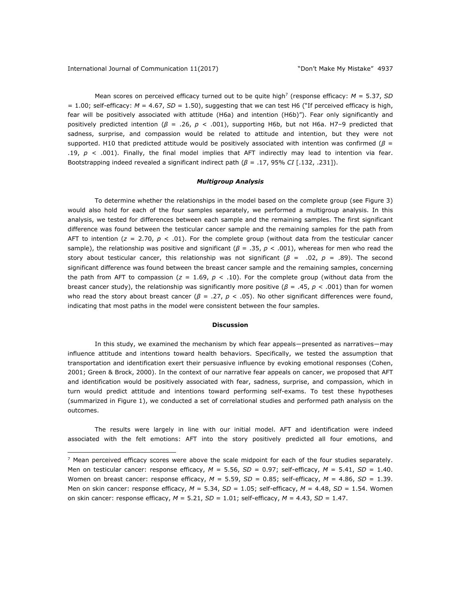$\overline{a}$ 

Mean scores on perceived efficacy turned out to be quite high<sup>7</sup> (response efficacy:  $M = 5.37$ , SD  $= 1.00$ ; self-efficacy:  $M = 4.67$ ,  $SD = 1.50$ ), suggesting that we can test H6 ("If perceived efficacy is high, fear will be positively associated with attitude (H6a) and intention (H6b)"). Fear only significantly and positively predicted intention (*β* = .26, *p* < .001), supporting H6b, but not H6a. H7–9 predicted that sadness, surprise, and compassion would be related to attitude and intention, but they were not supported. H10 that predicted attitude would be positively associated with intention was confirmed ( $\beta$  = .19,  $p \lt 0.001$ ). Finally, the final model implies that AFT indirectly may lead to intention via fear. Bootstrapping indeed revealed a significant indirect path (*β* = .17, 95% *CI* [.132, .231]).

#### *Multigroup Analysis*

To determine whether the relationships in the model based on the complete group (see Figure 3) would also hold for each of the four samples separately, we performed a multigroup analysis. In this analysis, we tested for differences between each sample and the remaining samples. The first significant difference was found between the testicular cancer sample and the remaining samples for the path from AFT to intention (*z* = 2.70, *p* < .01). For the complete group (without data from the testicular cancer sample), the relationship was positive and significant (*β* = .35, *p* < .001), whereas for men who read the story about testicular cancer, this relationship was not significant (*β* = .02, *p* = .89). The second significant difference was found between the breast cancer sample and the remaining samples, concerning the path from AFT to compassion ( $z = 1.69$ ,  $p < .10$ ). For the complete group (without data from the breast cancer study), the relationship was significantly more positive (*β* = .45, *p* < .001) than for women who read the story about breast cancer (*β* = .27, *p* < .05). No other significant differences were found, indicating that most paths in the model were consistent between the four samples.

#### **Discussion**

In this study, we examined the mechanism by which fear appeals―presented as narratives―may influence attitude and intentions toward health behaviors. Specifically, we tested the assumption that transportation and identification exert their persuasive influence by evoking emotional responses (Cohen, 2001; Green & Brock, 2000). In the context of our narrative fear appeals on cancer, we proposed that AFT and identification would be positively associated with fear, sadness, surprise, and compassion, which in turn would predict attitude and intentions toward performing self-exams. To test these hypotheses (summarized in Figure 1), we conducted a set of correlational studies and performed path analysis on the outcomes.

The results were largely in line with our initial model. AFT and identification were indeed associated with the felt emotions: AFT into the story positively predicted all four emotions, and

 $7$  Mean perceived efficacy scores were above the scale midpoint for each of the four studies separately. Men on testicular cancer: response efficacy, *M* = 5.56, *SD* = 0.97; self-efficacy, *M* = 5.41, *SD* = 1.40. Women on breast cancer: response efficacy,  $M = 5.59$ ,  $SD = 0.85$ ; self-efficacy,  $M = 4.86$ ,  $SD = 1.39$ . Men on skin cancer: response efficacy, *M* = 5.34, *SD* = 1.05; self-efficacy, *M* = 4.48, *SD* = 1.54. Women on skin cancer: response efficacy,  $M = 5.21$ ,  $SD = 1.01$ ; self-efficacy,  $M = 4.43$ ,  $SD = 1.47$ .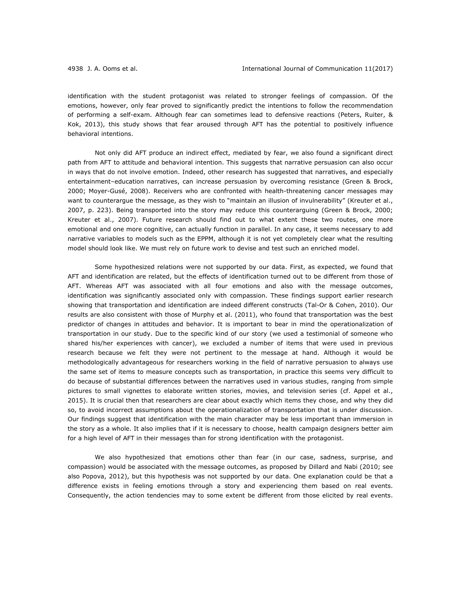identification with the student protagonist was related to stronger feelings of compassion. Of the emotions, however, only fear proved to significantly predict the intentions to follow the recommendation of performing a self-exam. Although fear can sometimes lead to defensive reactions (Peters, Ruiter, & Kok, 2013), this study shows that fear aroused through AFT has the potential to positively influence behavioral intentions.

Not only did AFT produce an indirect effect, mediated by fear, we also found a significant direct path from AFT to attitude and behavioral intention. This suggests that narrative persuasion can also occur in ways that do not involve emotion. Indeed, other research has suggested that narratives, and especially entertainment–education narratives, can increase persuasion by overcoming resistance (Green & Brock, 2000; Moyer-Gusé, 2008). Receivers who are confronted with health-threatening cancer messages may want to counterargue the message, as they wish to "maintain an illusion of invulnerability" (Kreuter et al., 2007, p. 223). Being transported into the story may reduce this counterarguing (Green & Brock, 2000; Kreuter et al., 2007). Future research should find out to what extent these two routes, one more emotional and one more cognitive, can actually function in parallel. In any case, it seems necessary to add narrative variables to models such as the EPPM, although it is not yet completely clear what the resulting model should look like. We must rely on future work to devise and test such an enriched model.

Some hypothesized relations were not supported by our data. First, as expected, we found that AFT and identification are related, but the effects of identification turned out to be different from those of AFT. Whereas AFT was associated with all four emotions and also with the message outcomes, identification was significantly associated only with compassion. These findings support earlier research showing that transportation and identification are indeed different constructs (Tal-Or & Cohen, 2010). Our results are also consistent with those of Murphy et al. (2011), who found that transportation was the best predictor of changes in attitudes and behavior. It is important to bear in mind the operationalization of transportation in our study. Due to the specific kind of our story (we used a testimonial of someone who shared his/her experiences with cancer), we excluded a number of items that were used in previous research because we felt they were not pertinent to the message at hand. Although it would be methodologically advantageous for researchers working in the field of narrative persuasion to always use the same set of items to measure concepts such as transportation, in practice this seems very difficult to do because of substantial differences between the narratives used in various studies, ranging from simple pictures to small vignettes to elaborate written stories, movies, and television series (cf. Appel et al., 2015). It is crucial then that researchers are clear about exactly which items they chose, and why they did so, to avoid incorrect assumptions about the operationalization of transportation that is under discussion. Our findings suggest that identification with the main character may be less important than immersion in the story as a whole. It also implies that if it is necessary to choose, health campaign designers better aim for a high level of AFT in their messages than for strong identification with the protagonist.

We also hypothesized that emotions other than fear (in our case, sadness, surprise, and compassion) would be associated with the message outcomes, as proposed by Dillard and Nabi (2010; see also Popova, 2012), but this hypothesis was not supported by our data. One explanation could be that a difference exists in feeling emotions through a story and experiencing them based on real events. Consequently, the action tendencies may to some extent be different from those elicited by real events.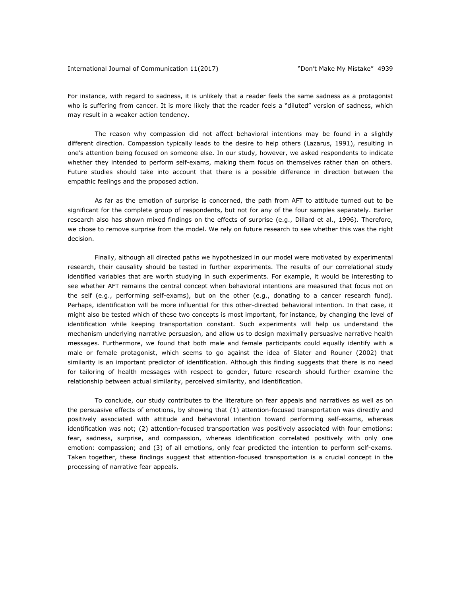For instance, with regard to sadness, it is unlikely that a reader feels the same sadness as a protagonist who is suffering from cancer. It is more likely that the reader feels a "diluted" version of sadness, which may result in a weaker action tendency.

The reason why compassion did not affect behavioral intentions may be found in a slightly different direction. Compassion typically leads to the desire to help others (Lazarus, 1991), resulting in one's attention being focused on someone else. In our study, however, we asked respondents to indicate whether they intended to perform self-exams, making them focus on themselves rather than on others. Future studies should take into account that there is a possible difference in direction between the empathic feelings and the proposed action.

As far as the emotion of surprise is concerned, the path from AFT to attitude turned out to be significant for the complete group of respondents, but not for any of the four samples separately. Earlier research also has shown mixed findings on the effects of surprise (e.g., Dillard et al., 1996). Therefore, we chose to remove surprise from the model. We rely on future research to see whether this was the right decision.

Finally, although all directed paths we hypothesized in our model were motivated by experimental research, their causality should be tested in further experiments. The results of our correlational study identified variables that are worth studying in such experiments. For example, it would be interesting to see whether AFT remains the central concept when behavioral intentions are measured that focus not on the self (e.g., performing self-exams), but on the other (e.g., donating to a cancer research fund). Perhaps, identification will be more influential for this other-directed behavioral intention. In that case, it might also be tested which of these two concepts is most important, for instance, by changing the level of identification while keeping transportation constant. Such experiments will help us understand the mechanism underlying narrative persuasion, and allow us to design maximally persuasive narrative health messages. Furthermore, we found that both male and female participants could equally identify with a male or female protagonist, which seems to go against the idea of Slater and Rouner (2002) that similarity is an important predictor of identification. Although this finding suggests that there is no need for tailoring of health messages with respect to gender, future research should further examine the relationship between actual similarity, perceived similarity, and identification.

To conclude, our study contributes to the literature on fear appeals and narratives as well as on the persuasive effects of emotions, by showing that (1) attention-focused transportation was directly and positively associated with attitude and behavioral intention toward performing self-exams, whereas identification was not; (2) attention-focused transportation was positively associated with four emotions: fear, sadness, surprise, and compassion, whereas identification correlated positively with only one emotion: compassion; and (3) of all emotions, only fear predicted the intention to perform self-exams. Taken together, these findings suggest that attention-focused transportation is a crucial concept in the processing of narrative fear appeals.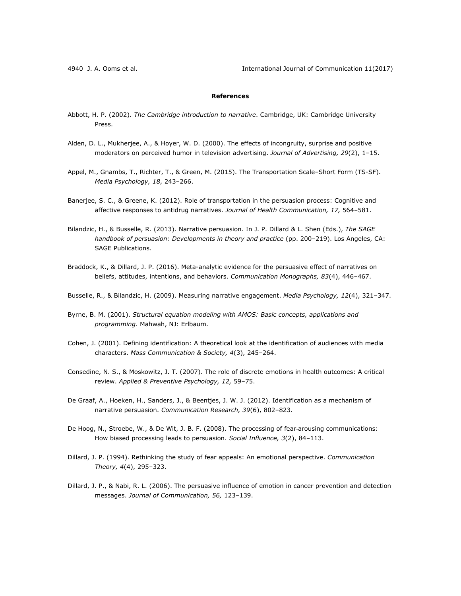## **References**

- Abbott, H. P. (2002). *The Cambridge introduction to narrative*. Cambridge, UK: Cambridge University Press.
- Alden, D. L., Mukherjee, A., & Hoyer, W. D. (2000). The effects of incongruity, surprise and positive moderators on perceived humor in television advertising. *Journal of Advertising, 29*(2), 1–15.
- Appel, M., Gnambs, T., Richter, T., & Green, M. (2015). The Transportation Scale–Short Form (TS-SF). *Media Psychology, 18*, 243–266.
- Banerjee, S. C., & Greene, K. (2012). Role of transportation in the persuasion process: Cognitive and affective responses to antidrug narratives. *Journal of Health Communication, 17,* 564–581.
- Bilandzic, H., & Busselle, R. (2013). Narrative persuasion. In J. P. Dillard & L. Shen (Eds.), *The SAGE handbook of persuasion: Developments in theory and practice* (pp. 200–219). Los Angeles, CA: SAGE Publications.
- Braddock, K., & Dillard, J. P. (2016). Meta-analytic evidence for the persuasive effect of narratives on beliefs, attitudes, intentions, and behaviors. *Communication Monographs, 83*(4), 446–467.
- Busselle, R., & Bilandzic, H. (2009). Measuring narrative engagement. *Media Psychology, 12*(4), 321–347.
- Byrne, B. M. (2001). *Structural equation modeling with AMOS: Basic concepts, applications and programming*. Mahwah, NJ: Erlbaum.
- Cohen, J. (2001). Defining identification: A theoretical look at the identification of audiences with media characters. *Mass Communication & Society, 4*(3), 245–264.
- Consedine, N. S., & Moskowitz, J. T. (2007). The role of discrete emotions in health outcomes: A critical review. *Applied & Preventive Psychology, 12,* 59–75.
- De Graaf, A., Hoeken, H., Sanders, J., & Beentjes, J. W. J. (2012). Identification as a mechanism of narrative persuasion. *Communication Research, 39*(6), 802–823.
- De Hoog, N., Stroebe, W., & De Wit, J. B. F. (2008). The processing of fear-arousing communications: How biased processing leads to persuasion. *Social Influence, 3*(2), 84–113.
- Dillard, J. P. (1994). Rethinking the study of fear appeals: An emotional perspective. *Communication Theory, 4*(4), 295–323.
- Dillard, J. P., & Nabi, R. L. (2006). The persuasive influence of emotion in cancer prevention and detection messages. *Journal of Communication, 56,* 123–139.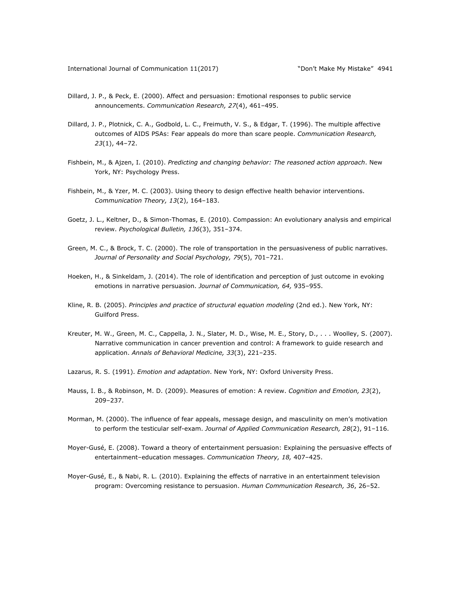- Dillard, J. P., & Peck, E. (2000). Affect and persuasion: Emotional responses to public service announcements. *Communication Research, 27*(4), 461–495.
- Dillard, J. P., Plotnick, C. A., Godbold, L. C., Freimuth, V. S., & Edgar, T. (1996). The multiple affective outcomes of AIDS PSAs: Fear appeals do more than scare people. *Communication Research, 23*(1), 44–72.
- Fishbein, M., & Ajzen, I. (2010). *Predicting and changing behavior: The reasoned action approach*. New York, NY: Psychology Press.
- Fishbein, M., & Yzer, M. C. (2003). Using theory to design effective health behavior interventions. *Communication Theory, 13*(2), 164–183.
- Goetz, J. L., Keltner, D., & Simon-Thomas, E. (2010). Compassion: An evolutionary analysis and empirical review. *Psychological Bulletin, 136*(3), 351–374.
- Green, M. C., & Brock, T. C. (2000). The role of transportation in the persuasiveness of public narratives. *Journal of Personality and Social Psychology, 79*(5), 701–721.
- Hoeken, H., & Sinkeldam, J. (2014). The role of identification and perception of just outcome in evoking emotions in narrative persuasion. *Journal of Communication, 64,* 935–955.
- Kline, R. B. (2005). *Principles and practice of structural equation modeling* (2nd ed.). New York, NY: Guilford Press.
- Kreuter, M. W., Green, M. C., Cappella, J. N., Slater, M. D., Wise, M. E., Story, D., . . . Woolley, S. (2007). Narrative communication in cancer prevention and control: A framework to guide research and application. *Annals of Behavioral Medicine, 33*(3), 221–235.
- Lazarus, R. S. (1991). *Emotion and adaptation*. New York, NY: Oxford University Press.
- Mauss, I. B., & Robinson, M. D. (2009). Measures of emotion: A review. *Cognition and Emotion, 23*(2), 209–237.
- Morman, M. (2000). The influence of fear appeals, message design, and masculinity on men's motivation to perform the testicular self-exam. *Journal of Applied Communication Research, 28*(2), 91–116.
- Moyer-Gusé, E. (2008). Toward a theory of entertainment persuasion: Explaining the persuasive effects of entertainment–education messages. *Communication Theory, 18,* 407–425.
- Moyer-Gusé, E., & Nabi, R. L. (2010). Explaining the effects of narrative in an entertainment television program: Overcoming resistance to persuasion. *Human Communication Research, 36*, 26–52.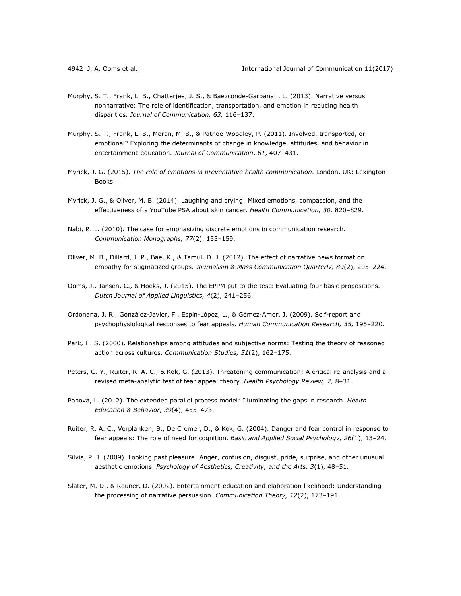- Murphy, S. T., Frank, L. B., Chatterjee, J. S., & Baezconde-Garbanati, L. (2013). Narrative versus nonnarrative: The role of identification, transportation, and emotion in reducing health disparities. *Journal of Communication, 63,* 116–137.
- Murphy, S. T., Frank, L. B., Moran, M. B., & Patnoe-Woodley, P. (2011). Involved, transported, or emotional? Exploring the determinants of change in knowledge, attitudes, and behavior in entertainment-education. *Journal of Communication*, *61*, 407–431.
- Myrick, J. G. (2015). *The role of emotions in preventative health communication*. London, UK: Lexington Books.
- Myrick, J. G., & Oliver, M. B. (2014). Laughing and crying: Mixed emotions, compassion, and the effectiveness of a YouTube PSA about skin cancer. *Health Communication, 30,* 820–829.
- Nabi, R. L. (2010). The case for emphasizing discrete emotions in communication research. *Communication Monographs, 77*(2), 153–159.
- Oliver, M. B., Dillard, J. P., Bae, K., & Tamul, D. J. (2012). The effect of narrative news format on empathy for stigmatized groups. *Journalism & Mass Communication Quarterly, 89*(2), 205–224.
- Ooms, J., Jansen, C., & Hoeks, J. (2015). The EPPM put to the test: Evaluating four basic propositions. *Dutch Journal of Applied Linguistics, 4*(2), 241–256.
- Ordonana, J. R., González-Javier, F., Espín-López, L., & Gómez-Amor, J. (2009). Self-report and psychophysiological responses to fear appeals. *Human Communication Research, 35,* 195–220.
- Park, H. S. (2000). Relationships among attitudes and subjective norms: Testing the theory of reasoned action across cultures. *Communication Studies, 51*(2), 162–175.
- Peters, G. Y., Ruiter, R. A. C., & Kok, G. (2013). Threatening communication: A critical re-analysis and a revised meta-analytic test of fear appeal theory. *Health Psychology Review, 7,* 8–31.
- Popova, L. (2012). The extended parallel process model: Illuminating the gaps in research. *Health Education & Behavior*, *39*(4), 455–473.
- Ruiter, R. A. C., Verplanken, B., De Cremer, D., & Kok, G. (2004). Danger and fear control in response to fear appeals: The role of need for cognition. *Basic and Applied Social Psychology, 26*(1), 13–24.
- Silvia, P. J. (2009). Looking past pleasure: Anger, confusion, disgust, pride, surprise, and other unusual aesthetic emotions. *Psychology of Aesthetics, Creativity, and the Arts, 3*(1), 48–51.
- Slater, M. D., & Rouner, D. (2002). Entertainment-education and elaboration likelihood: Understanding the processing of narrative persuasion. *Communication Theory, 12*(2), 173–191.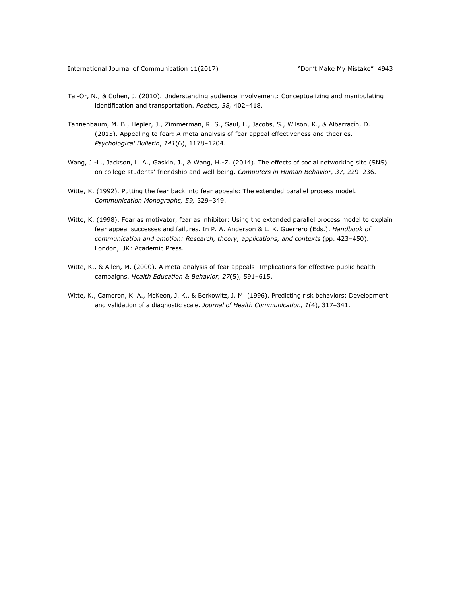- Tal-Or, N., & Cohen, J. (2010). Understanding audience involvement: Conceptualizing and manipulating identification and transportation. *Poetics, 38,* 402–418.
- Tannenbaum, M. B., Hepler, J., Zimmerman, R. S., Saul, L., Jacobs, S., Wilson, K., & Albarracín, D. (2015). Appealing to fear: A meta-analysis of fear appeal effectiveness and theories. *Psychological Bulletin*, *141*(6), 1178–1204.
- Wang, J.-L., Jackson, L. A., Gaskin, J., & Wang, H.-Z. (2014). The effects of social networking site (SNS) on college students' friendship and well-being. *Computers in Human Behavior, 37,* 229–236.
- Witte, K. (1992). Putting the fear back into fear appeals: The extended parallel process model. *Communication Monographs, 59,* 329–349.
- Witte, K. (1998). Fear as motivator, fear as inhibitor: Using the extended parallel process model to explain fear appeal successes and failures. In P. A. Anderson & L. K. Guerrero (Eds.), *Handbook of communication and emotion: Research, theory, applications, and contexts* (pp. 423–450). London, UK: Academic Press.
- Witte, K., & Allen, M. (2000). A meta-analysis of fear appeals: Implications for effective public health campaigns. *Health Education & Behavior, 27*(5)*,* 591–615.
- Witte, K., Cameron, K. A., McKeon, J. K., & Berkowitz, J. M. (1996). Predicting risk behaviors: Development and validation of a diagnostic scale. *Journal of Health Communication, 1*(4), 317–341.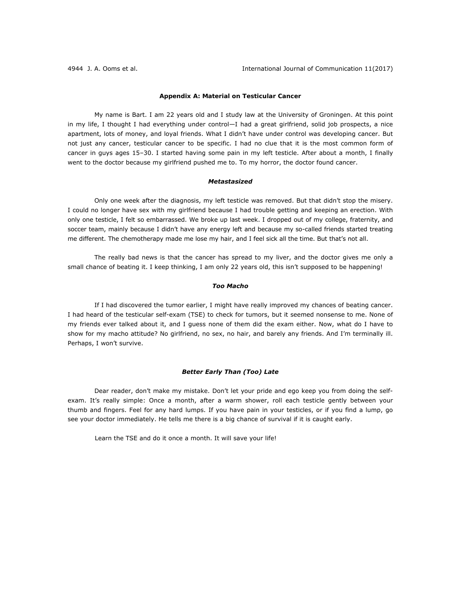## **Appendix A: Material on Testicular Cancer**

My name is Bart. I am 22 years old and I study law at the University of Groningen. At this point in my life, I thought I had everything under control—I had a great girlfriend, solid job prospects, a nice apartment, lots of money, and loyal friends. What I didn't have under control was developing cancer. But not just any cancer, testicular cancer to be specific. I had no clue that it is the most common form of cancer in guys ages 15–30. I started having some pain in my left testicle. After about a month, I finally went to the doctor because my girlfriend pushed me to. To my horror, the doctor found cancer.

## *Metastasized*

Only one week after the diagnosis, my left testicle was removed. But that didn't stop the misery. I could no longer have sex with my girlfriend because I had trouble getting and keeping an erection. With only one testicle, I felt so embarrassed. We broke up last week. I dropped out of my college, fraternity, and soccer team, mainly because I didn't have any energy left and because my so-called friends started treating me different. The chemotherapy made me lose my hair, and I feel sick all the time. But that's not all.

The really bad news is that the cancer has spread to my liver, and the doctor gives me only a small chance of beating it. I keep thinking, I am only 22 years old, this isn't supposed to be happening!

## *Too Macho*

If I had discovered the tumor earlier, I might have really improved my chances of beating cancer. I had heard of the testicular self-exam (TSE) to check for tumors, but it seemed nonsense to me. None of my friends ever talked about it, and I guess none of them did the exam either. Now, what do I have to show for my macho attitude? No girlfriend, no sex, no hair, and barely any friends. And I'm terminally ill. Perhaps, I won't survive.

## *Better Early Than (Too) Late*

Dear reader, don't make my mistake. Don't let your pride and ego keep you from doing the selfexam. It's really simple: Once a month, after a warm shower, roll each testicle gently between your thumb and fingers. Feel for any hard lumps. If you have pain in your testicles, or if you find a lump, go see your doctor immediately. He tells me there is a big chance of survival if it is caught early.

Learn the TSE and do it once a month. It will save your life!